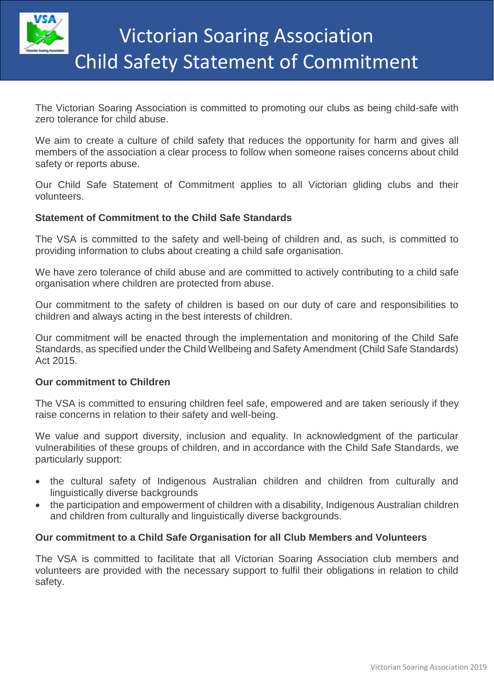

The Victorian Soaring Association is committed to promoting our clubs as being child-safe with zero tolerance for child abuse.

We aim to create a culture of child safety that reduces the opportunity for harm and gives all members of the association a clear process to follow when someone raises concerns about child safety or reports abuse.

Our Child Safe Statement of Commitment applies to all Victorian gliding clubs and their volunteers.

# **Statement of Commitment to the Child Safe Standards**

The VSA is committed to the safety and well-being of children and, as such, is committed to providing information to clubs about creating a child safe organisation.

We have zero tolerance of child abuse and are committed to actively contributing to a child safe organisation where children are protected from abuse.

Our commitment to the safety of children is based on our duty of care and responsibilities to children and always acting in the best interests of children.

Our commitment will be enacted through the implementation and monitoring of the Child Safe Standards, as specified under the Child Wellbeing and Safety Amendment (Child Safe Standards) Act 2015.

## **Our commitment to Children**

The VSA is committed to ensuring children feel safe, empowered and are taken seriously if they raise concerns in relation to their safety and well-being.

We value and support diversity, inclusion and equality. In acknowledgment of the particular vulnerabilities of these groups of children, and in accordance with the Child Safe Standards, we particularly support:

- the cultural safety of Indigenous Australian children and children from culturally and linguistically diverse backgrounds
- the participation and empowerment of children with a disability, Indigenous Australian children and children from culturally and linguistically diverse backgrounds.

## **Our commitment to a Child Safe Organisation for all Club Members and Volunteers**

The VSA is committed to facilitate that all Victorian Soaring Association club members and volunteers are provided with the necessary support to fulfil their obligations in relation to child safety.